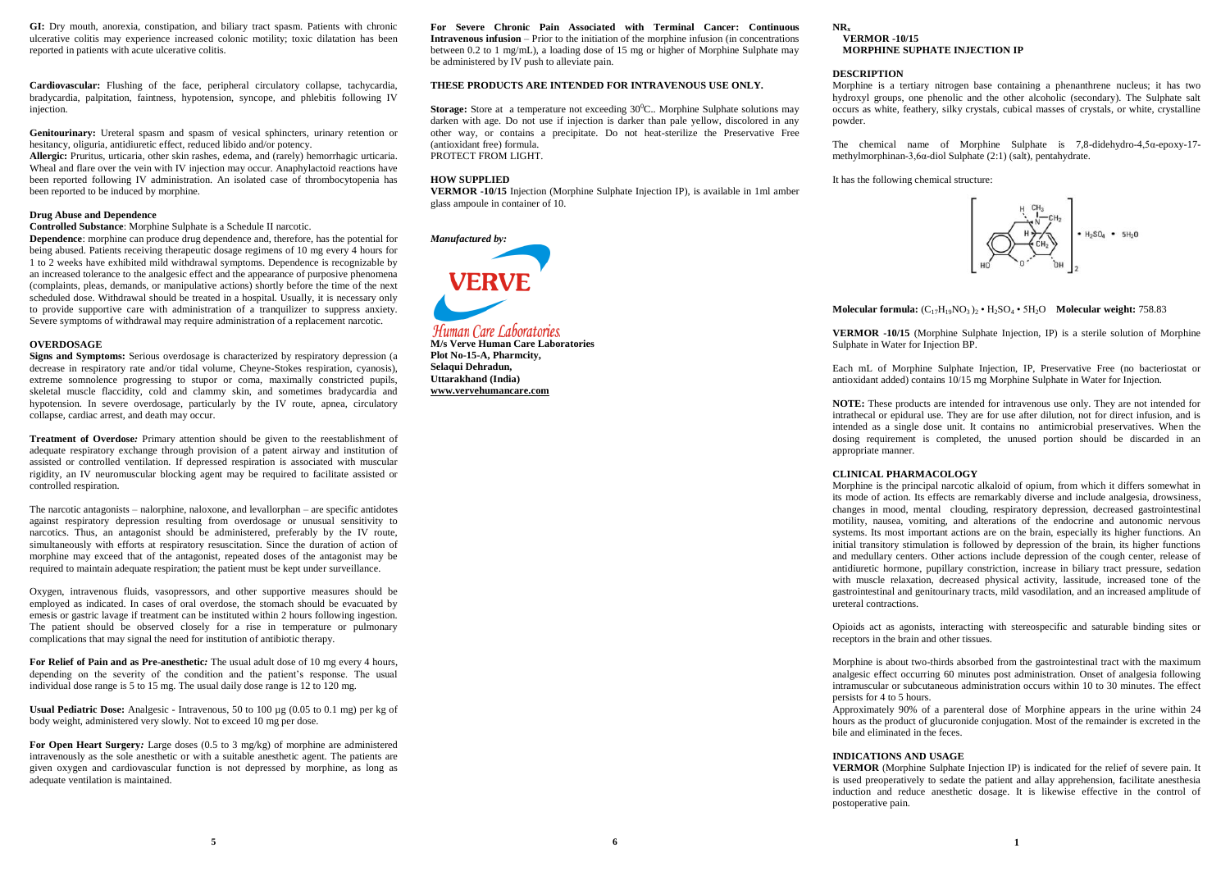**GI:** Dry mouth, anorexia, constipation, and biliary tract spasm. Patients with chronic ulcerative colitis may experience increased colonic motility; toxic dilatation has been reported in patients with acute ulcerative colitis.

**Cardiovascular:** Flushing of the face, peripheral circulatory collapse, tachycardia, bradycardia, palpitation, faintness, hypotension, syncope, and phlebitis following IV injection.

**Genitourinary:** Ureteral spasm and spasm of vesical sphincters, urinary retention or hesitancy, oliguria, antidiuretic effect, reduced libido and/or potency.

**Allergic:** Pruritus, urticaria, other skin rashes, edema, and (rarely) hemorrhagic urticaria. Wheal and flare over the vein with IV injection may occur. Anaphylactoid reactions have been reported following IV administration. An isolated case of thrombocytopenia has been reported to be induced by morphine.

## **Drug Abuse and Dependence**

**Controlled Substance**: Morphine Sulphate is a Schedule II narcotic.

**Dependence**: morphine can produce drug dependence and, therefore, has the potential for being abused. Patients receiving therapeutic dosage regimens of 10 mg every 4 hours for 1 to 2 weeks have exhibited mild withdrawal symptoms. Dependence is recognizable by an increased tolerance to the analgesic effect and the appearance of purposive phenomena (complaints, pleas, demands, or manipulative actions) shortly before the time of the next scheduled dose. Withdrawal should be treated in a hospital. Usually, it is necessary only to provide supportive care with administration of a tranquilizer to suppress anxiety. Severe symptoms of withdrawal may require administration of a replacement narcotic.

# **OVERDOSAGE**

**Signs and Symptoms:** Serious overdosage is characterized by respiratory depression (a decrease in respiratory rate and/or tidal volume, Cheyne-Stokes respiration, cyanosis), extreme somnolence progressing to stupor or coma, maximally constricted pupils, skeletal muscle flaccidity, cold and clammy skin, and sometimes bradycardia and hypotension. In severe overdosage, particularly by the IV route, apnea, circulatory collapse, cardiac arrest, and death may occur.

**Treatment of Overdose***:* Primary attention should be given to the reestablishment of adequate respiratory exchange through provision of a patent airway and institution of assisted or controlled ventilation. If depressed respiration is associated with muscular rigidity, an IV neuromuscular blocking agent may be required to facilitate assisted or controlled respiration.

The narcotic antagonists – nalorphine, naloxone, and levallorphan – are specific antidotes against respiratory depression resulting from overdosage or unusual sensitivity to narcotics. Thus, an antagonist should be administered, preferably by the IV route, simultaneously with efforts at respiratory resuscitation. Since the duration of action of morphine may exceed that of the antagonist, repeated doses of the antagonist may be required to maintain adequate respiration; the patient must be kept under surveillance.

Oxygen, intravenous fluids, vasopressors, and other supportive measures should be employed as indicated. In cases of oral overdose, the stomach should be evacuated by emesis or gastric lavage if treatment can be instituted within 2 hours following ingestion. The patient should be observed closely for a rise in temperature or pulmonary complications that may signal the need for institution of antibiotic therapy.

**For Relief of Pain and as Pre-anesthetic***:* The usual adult dose of 10 mg every 4 hours, depending on the severity of the condition and the patient's response. The usual individual dose range is 5 to 15 mg. The usual daily dose range is 12 to 120 mg.

**Usual Pediatric Dose:** Analgesic - Intravenous, 50 to 100 µg (0.05 to 0.1 mg) per kg of body weight, administered very slowly. Not to exceed 10 mg per dose.

**For Open Heart Surgery***:* Large doses (0.5 to 3 mg/kg) of morphine are administered intravenously as the sole anesthetic or with a suitable anesthetic agent. The patients are given oxygen and cardiovascular function is not depressed by morphine, as long as adequate ventilation is maintained.

**For Severe Chronic Pain Associated with Terminal Cancer: Continuous Intravenous infusion** – Prior to the initiation of the morphine infusion (in concentrations between 0.2 to 1 mg/mL), a loading dose of 15 mg or higher of Morphine Sulphate may be administered by IV push to alleviate pain.

# **THESE PRODUCTS ARE INTENDED FOR INTRAVENOUS USE ONLY.**

**Storage:** Store at a temperature not exceeding 30<sup>0</sup>C.. Morphine Sulphate solutions may darken with age. Do not use if injection is darker than pale yellow, discolored in any other way, or contains a precipitate. Do not heat-sterilize the Preservative Free (antioxidant free) formula. PROTECT FROM LIGHT.

## **HOW SUPPLIED**

**VERMOR -10/15** Injection (Morphine Sulphate Injection IP), is available in 1ml amber glass ampoule in container of 10.



**M/s Verve Human Care Laboratories Plot No-15-A, Pharmcity, Selaqui Dehradun, Uttarakhand (India) www.vervehumancare.com**

#### **NR<sup>x</sup> VERMOR -10/15 MORPHINE SUPHATE INJECTION IP**

## **DESCRIPTION**

Morphine is a tertiary nitrogen base containing a phenanthrene nucleus; it has two hydroxyl groups, one phenolic and the other alcoholic (secondary). The Sulphate salt occurs as white, feathery, silky crystals, cubical masses of crystals, or white, crystalline powder.

The chemical name of Morphine Sulphate is 7,8-didehydro-4,5α-epoxy-17 methylmorphinan-3,6α-diol Sulphate (2:1) (salt), pentahydrate.

It has the following chemical structure:



**Molecular formula:** (C17H19NO3 )<sup>2</sup> • H2SO<sup>4</sup> • 5H2O **Molecular weight:** 758.83

**VERMOR -10/15** (Morphine Sulphate Injection, IP) is a sterile solution of Morphine Sulphate in Water for Injection BP.

Each mL of Morphine Sulphate Injection, IP, Preservative Free (no bacteriostat or antioxidant added) contains 10/15 mg Morphine Sulphate in Water for Injection.

**NOTE:** These products are intended for intravenous use only. They are not intended for intrathecal or epidural use. They are for use after dilution, not for direct infusion, and is intended as a single dose unit. It contains no antimicrobial preservatives. When the dosing requirement is completed, the unused portion should be discarded in an appropriate manner.

### **CLINICAL PHARMACOLOGY**

Morphine is the principal narcotic alkaloid of opium, from which it differs somewhat in its mode of action. Its effects are remarkably diverse and include analgesia, drowsiness, changes in mood, mental clouding, respiratory depression, decreased gastrointestinal motility, nausea, vomiting, and alterations of the endocrine and autonomic nervous systems. Its most important actions are on the brain, especially its higher functions. An initial transitory stimulation is followed by depression of the brain, its higher functions and medullary centers. Other actions include depression of the cough center, release of antidiuretic hormone, pupillary constriction, increase in biliary tract pressure, sedation with muscle relaxation, decreased physical activity, lassitude, increased tone of the gastrointestinal and genitourinary tracts, mild vasodilation, and an increased amplitude of ureteral contractions.

Opioids act as agonists, interacting with stereospecific and saturable binding sites or receptors in the brain and other tissues.

Morphine is about two-thirds absorbed from the gastrointestinal tract with the maximum analgesic effect occurring 60 minutes post administration. Onset of analgesia following intramuscular or subcutaneous administration occurs within 10 to 30 minutes. The effect persists for 4 to 5 hours.

Approximately 90% of a parenteral dose of Morphine appears in the urine within 24 hours as the product of glucuronide conjugation. Most of the remainder is excreted in the bile and eliminated in the feces.

# **INDICATIONS AND USAGE**

**VERMOR** (Morphine Sulphate Injection IP) is indicated for the relief of severe pain. It is used preoperatively to sedate the patient and allay apprehension, facilitate anesthesia induction and reduce anesthetic dosage. It is likewise effective in the control of postoperative pain.